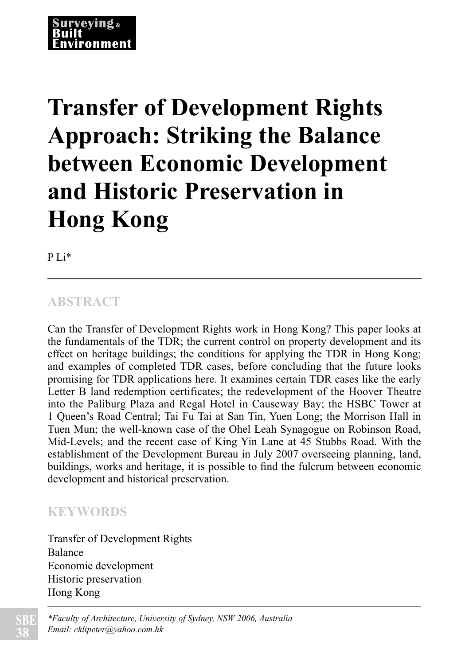#### *Transfer of Development Rights Approach: Striking the Balance between Economic Development and Historic Preservation in Hong Kong Surveying and Built Environment Vol 19(1), 38-53 December 2008 ISSN 1816-9554* 'onmen

# **Transfer of Development Rights Approach: Striking the Balance between Economic Development and Historic Preservation in Hong Kong**

P Li\*

### **ABSTRACT**

Can the Transfer of Development Rights work in Hong Kong? This paper looks at the fundamentals of the TDR; the current control on property development and its effect on heritage buildings; the conditions for applying the TDR in Hong Kong; and examples of completed TDR cases, before concluding that the future looks promising for TDR applications here. It examines certain TDR cases like the early Letter B land redemption certificates; the redevelopment of the Hoover Theatre into the Paliburg Plaza and Regal Hotel in Causeway Bay; the HSBC Tower at 1 Queen's Road Central; Tai Fu Tai at San Tin, Yuen Long; the Morrison Hall in Tuen Mun; the well-known case of the Ohel Leah Synagogue on Robinson Road, Mid-Levels; and the recent case of King Yin Lane at 45 Stubbs Road. With the establishment of the Development Bureau in July 2007 overseeing planning, land, buildings, works and heritage, it is possible to find the fulcrum between economic development and historical preservation.

### **KEYWORDS**

Transfer of Development Rights Balance Economic development Historic preservation Hong Kong

*\*Faculty of Architecture, University of Sydney, NSW 2006, Australia Email: cklipeter@yahoo.com.hk*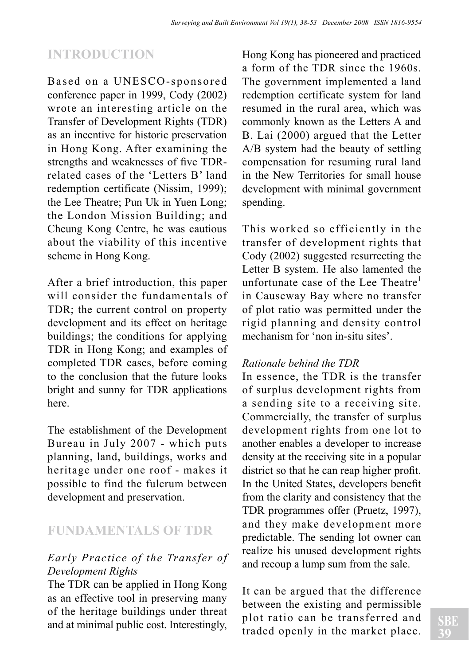## **INTRODUCTION**

Based on a UNESCO-sponsored conference paper in 1999, Cody (2002) wrote an interesting article on the Transfer of Development Rights (TDR) as an incentive for historic preservation in Hong Kong. After examining the strengths and weaknesses of five TDRrelated cases of the 'Letters B' land redemption certificate (Nissim, 1999); the Lee Theatre; Pun Uk in Yuen Long; the London Mission Building; and Cheung Kong Centre, he was cautious about the viability of this incentive scheme in Hong Kong.

After a brief introduction, this paper will consider the fundamentals of TDR; the current control on property development and its effect on heritage buildings; the conditions for applying TDR in Hong Kong; and examples of completed TDR cases, before coming to the conclusion that the future looks bright and sunny for TDR applications here.

The establishment of the Development Bureau in July 2007 - which puts planning, land, buildings, works and heritage under one roof - makes it possible to find the fulcrum between development and preservation.

### **FUNDAMENTALS OF TDR**

#### *Early Practice of the Transfer of Development Rights*

The TDR can be applied in Hong Kong as an effective tool in preserving many of the heritage buildings under threat and at minimal public cost. Interestingly, Hong Kong has pioneered and practiced a form of the TDR since the 1960s. The government implemented a land redemption certificate system for land resumed in the rural area, which was commonly known as the Letters A and B. Lai (2000) argued that the Letter A/B system had the beauty of settling compensation for resuming rural land in the New Territories for small house development with minimal government spending.

This worked so efficiently in the transfer of development rights that Cody (2002) suggested resurrecting the Letter B system. He also lamented the unfortunate case of the Lee Theatre<sup>1</sup> in Causeway Bay where no transfer of plot ratio was permitted under the rigid planning and density control mechanism for 'non in-situ sites'.

#### *Rationale behind the TDR*

In essence, the TDR is the transfer of surplus development rights from a sending site to a receiving site. Commercially, the transfer of surplus development rights from one lot to another enables a developer to increase density at the receiving site in a popular district so that he can reap higher profit. In the United States, developers benefit from the clarity and consistency that the TDR programmes offer (Pruetz, 1997), and they make development more predictable. The sending lot owner can realize his unused development rights and recoup a lump sum from the sale.

It can be argued that the difference between the existing and permissible plot ratio can be transferred and traded openly in the market place.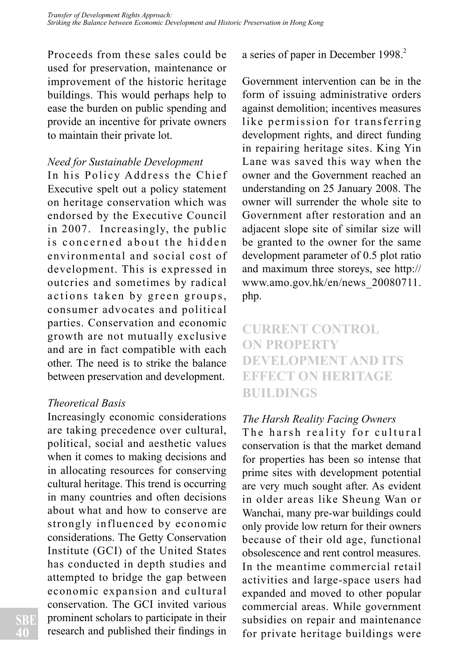Proceeds from these sales could be used for preservation, maintenance or improvement of the historic heritage buildings. This would perhaps help to ease the burden on public spending and provide an incentive for private owners to maintain their private lot.

#### *Need for Sustainable Development*

In his Policy Address the Chief Executive spelt out a policy statement on heritage conservation which was endorsed by the Executive Council in 2007. Increasingly, the public is concerned about the hidden environmental and social cost of development. This is expressed in outcries and sometimes by radical actions taken by green groups, consumer advocates and political parties. Conservation and economic growth are not mutually exclusive and are in fact compatible with each other. The need is to strike the balance between preservation and development.

#### *Theoretical Basis*

Increasingly economic considerations are taking precedence over cultural, political, social and aesthetic values when it comes to making decisions and in allocating resources for conserving cultural heritage. This trend is occurring in many countries and often decisions about what and how to conserve are strongly influenced by economic considerations. The Getty Conservation Institute (GCI) of the United States has conducted in depth studies and attempted to bridge the gap between economic expansion and cultural conservation. The GCI invited various prominent scholars to participate in their research and published their findings in a series of paper in December 1998.<sup>2</sup>

Government intervention can be in the form of issuing administrative orders against demolition; incentives measures like permission for transferring development rights, and direct funding in repairing heritage sites. King Yin Lane was saved this way when the owner and the Government reached an understanding on 25 January 2008. The owner will surrender the whole site to Government after restoration and an adjacent slope site of similar size will be granted to the owner for the same development parameter of 0.5 plot ratio and maximum three storeys, see http:// www.amo.gov.hk/en/news\_20080711. php.

### **CURRENT CONTROL ON PROPERTY DEVELOPMENT AND ITS EFFECT ON HERITAGE BUILDINGS**

#### *The Harsh Reality Facing Owners*

The harsh reality for cultural conservation is that the market demand for properties has been so intense that prime sites with development potential are very much sought after. As evident in older areas like Sheung Wan or Wanchai, many pre-war buildings could only provide low return for their owners because of their old age, functional obsolescence and rent control measures. In the meantime commercial retail activities and large-space users had expanded and moved to other popular commercial areas. While government subsidies on repair and maintenance for private heritage buildings were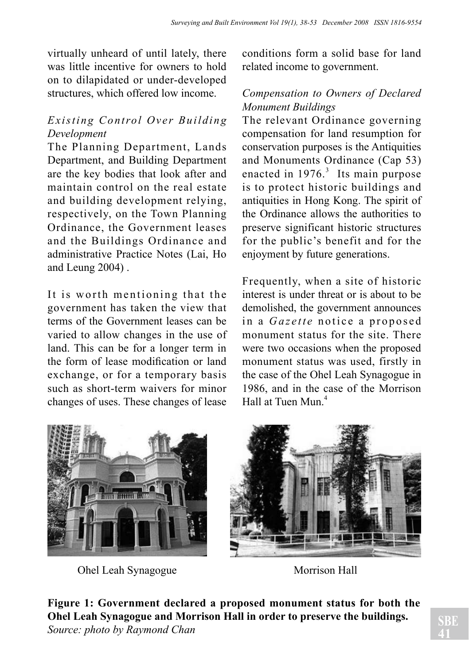virtually unheard of until lately, there was little incentive for owners to hold on to dilapidated or under-developed structures, which offered low income.

#### *Existing Control Over Building Development*

The Planning Department, Lands Department, and Building Department are the key bodies that look after and maintain control on the real estate and building development relying, respectively, on the Town Planning Ordinance, the Government leases and the Buildings Ordinance and administrative Practice Notes (Lai, Ho and Leung 2004) .

It is worth mentioning that the government has taken the view that terms of the Government leases can be varied to allow changes in the use of land. This can be for a longer term in the form of lease modification or land exchange, or for a temporary basis such as short-term waivers for minor changes of uses. These changes of lease conditions form a solid base for land related income to government.

#### *Compensation to Owners of Declared Monument Buildings*

The relevant Ordinance governing compensation for land resumption for conservation purposes is the Antiquities and Monuments Ordinance (Cap 53) enacted in  $1976$ <sup>3</sup> Its main purpose is to protect historic buildings and antiquities in Hong Kong. The spirit of the Ordinance allows the authorities to preserve significant historic structures for the public's benefit and for the enjoyment by future generations.

Frequently, when a site of historic interest is under threat or is about to be demolished, the government announces in a *Gazette* notice a proposed monument status for the site. There were two occasions when the proposed monument status was used, firstly in the case of the Ohel Leah Synagogue in 1986, and in the case of the Morrison Hall at Tuen Mun<sup>4</sup>



Ohel Leah Synagogue Morrison Hall



**Figure 1: Government declared a proposed monument status for both the Ohel Leah Synagogue and Morrison Hall in order to preserve the buildings.** *Source: photo by Raymond Chan*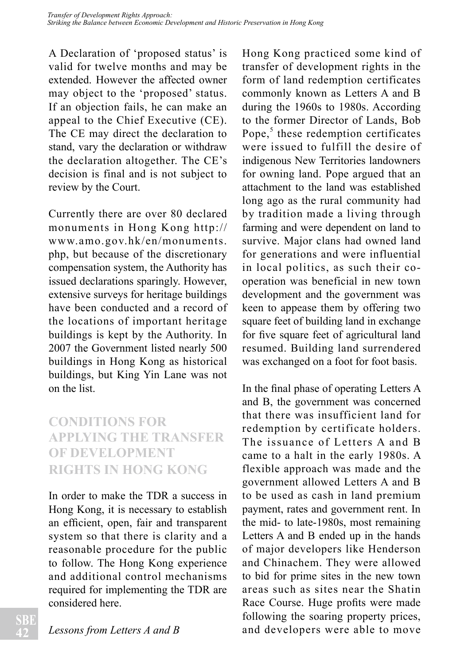A Declaration of 'proposed status' is valid for twelve months and may be extended. However the affected owner may object to the 'proposed' status. If an objection fails, he can make an appeal to the Chief Executive (CE). The CE may direct the declaration to stand, vary the declaration or withdraw the declaration altogether. The CE's decision is final and is not subject to review by the Court.

Currently there are over 80 declared monuments in Hong Kong http:// www.amo.gov.hk/en/monuments. php, but because of the discretionary compensation system, the Authority has issued declarations sparingly. However, extensive surveys for heritage buildings have been conducted and a record of the locations of important heritage buildings is kept by the Authority. In 2007 the Government listed nearly 500 buildings in Hong Kong as historical buildings, but King Yin Lane was not on the list.

### **CONDITIONS FOR APPLYING THE TRANSFER OF DEVELOPMENT RIGHTS IN HONG KONG**

In order to make the TDR a success in Hong Kong, it is necessary to establish an efficient, open, fair and transparent system so that there is clarity and a reasonable procedure for the public to follow. The Hong Kong experience and additional control mechanisms required for implementing the TDR are considered here.

Hong Kong practiced some kind of transfer of development rights in the form of land redemption certificates commonly known as Letters A and B during the 1960s to 1980s. According to the former Director of Lands, Bob Pope, $5$  these redemption certificates were issued to fulfill the desire of indigenous New Territories landowners for owning land. Pope argued that an attachment to the land was established long ago as the rural community had by tradition made a living through farming and were dependent on land to survive. Major clans had owned land for generations and were influential in local politics, as such their cooperation was beneficial in new town development and the government was keen to appease them by offering two square feet of building land in exchange for five square feet of agricultural land resumed. Building land surrendered was exchanged on a foot for foot basis.

In the final phase of operating Letters A and B, the government was concerned that there was insufficient land for redemption by certificate holders. The issuance of Letters A and B came to a halt in the early 1980s. A flexible approach was made and the government allowed Letters A and B to be used as cash in land premium payment, rates and government rent. In the mid- to late-1980s, most remaining Letters A and B ended up in the hands of major developers like Henderson and Chinachem. They were allowed to bid for prime sites in the new town areas such as sites near the Shatin Race Course. Huge profits were made following the soaring property prices, and developers were able to move

*Lessons from Letters A and B*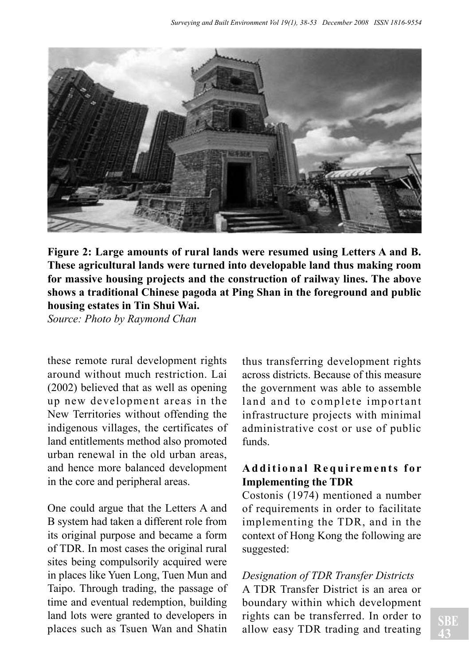

**Figure 2: Large amounts of rural lands were resumed using Letters A and B. These agricultural lands were turned into developable land thus making room for massive housing projects and the construction of railway lines. The above shows a traditional Chinese pagoda at Ping Shan in the foreground and public housing estates in Tin Shui Wai.** 

*Source: Photo by Raymond Chan*

these remote rural development rights around without much restriction. Lai (2002) believed that as well as opening up new development areas in the New Territories without offending the indigenous villages, the certificates of land entitlements method also promoted urban renewal in the old urban areas, and hence more balanced development in the core and peripheral areas.

One could argue that the Letters A and B system had taken a different role from its original purpose and became a form of TDR. In most cases the original rural sites being compulsorily acquired were in places like Yuen Long, Tuen Mun and Taipo. Through trading, the passage of time and eventual redemption, building land lots were granted to developers in places such as Tsuen Wan and Shatin

thus transferring development rights across districts. Because of this measure the government was able to assemble land and to complete important infrastructure projects with minimal administrative cost or use of public funds.

#### **A d d i t i o n a l R e q u i r e m e n t s f o r Implementing the TDR**

Costonis (1974) mentioned a number of requirements in order to facilitate implementing the TDR, and in the context of Hong Kong the following are suggested:

#### *Designation of TDR Transfer Districts*

A TDR Transfer District is an area or boundary within which development rights can be transferred. In order to allow easy TDR trading and treating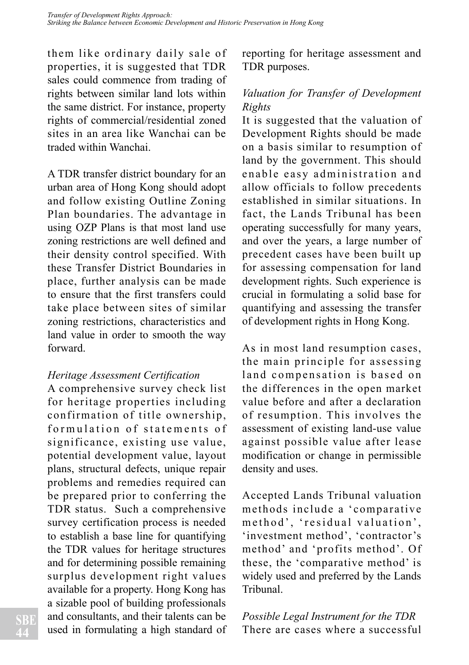them like ordinary daily sale of properties, it is suggested that TDR sales could commence from trading of rights between similar land lots within the same district. For instance, property rights of commercial/residential zoned sites in an area like Wanchai can be traded within Wanchai.

A TDR transfer district boundary for an urban area of Hong Kong should adopt and follow existing Outline Zoning Plan boundaries. The advantage in using OZP Plans is that most land use zoning restrictions are well defined and their density control specified. With these Transfer District Boundaries in place, further analysis can be made to ensure that the first transfers could take place between sites of similar zoning restrictions, characteristics and land value in order to smooth the way forward.

#### *Heritage Assessment Certification*

A comprehensive survey check list for heritage properties including confirmation of title ownership, formulation of statements of significance, existing use value, potential development value, layout plans, structural defects, unique repair problems and remedies required can be prepared prior to conferring the TDR status. Such a comprehensive survey certification process is needed to establish a base line for quantifying the TDR values for heritage structures and for determining possible remaining surplus development right values available for a property. Hong Kong has a sizable pool of building professionals and consultants, and their talents can be used in formulating a high standard of reporting for heritage assessment and TDR purposes.

#### *Valuation for Transfer of Development Rights*

It is suggested that the valuation of Development Rights should be made on a basis similar to resumption of land by the government. This should enable easy administration and allow officials to follow precedents established in similar situations. In fact, the Lands Tribunal has been operating successfully for many years, and over the years, a large number of precedent cases have been built up for assessing compensation for land development rights. Such experience is crucial in formulating a solid base for quantifying and assessing the transfer of development rights in Hong Kong.

As in most land resumption cases, the main principle for assessing land compensation is based on the differences in the open market value before and after a declaration of resumption. This involves the assessment of existing land-use value against possible value after lease modification or change in permissible density and uses.

Accepted Lands Tribunal valuation methods include a 'comparative method', 'residual valuation', 'investment method', 'contractor's method' and 'profits method'. Of these, the 'comparative method' is widely used and preferred by the Lands Tribunal.

*Possible Legal Instrument for the TDR* There are cases where a successful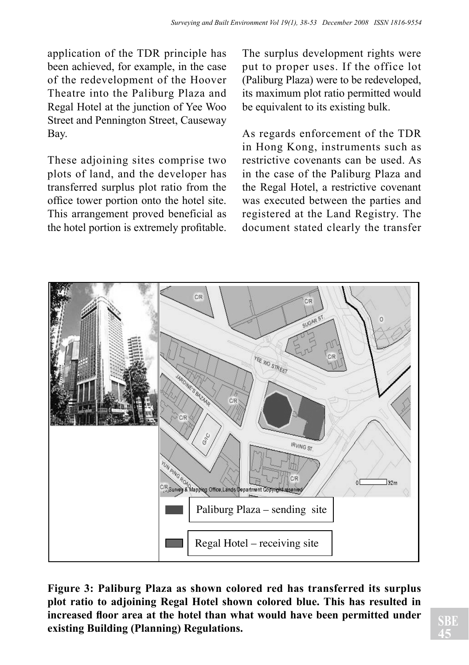application of the TDR principle has been achieved, for example, in the case of the redevelopment of the Hoover Theatre into the Paliburg Plaza and Regal Hotel at the junction of Yee Woo Street and Pennington Street, Causeway Bay.

These adjoining sites comprise two plots of land, and the developer has transferred surplus plot ratio from the office tower portion onto the hotel site. This arrangement proved beneficial as the hotel portion is extremely profitable. The surplus development rights were put to proper uses. If the office lot (Paliburg Plaza) were to be redeveloped, its maximum plot ratio permitted would be equivalent to its existing bulk.

As regards enforcement of the TDR in Hong Kong, instruments such as restrictive covenants can be used. As in the case of the Paliburg Plaza and the Regal Hotel, a restrictive covenant was executed between the parties and registered at the Land Registry. The document stated clearly the transfer



**Figure 3: Paliburg Plaza as shown colored red has transferred its surplus plot ratio to adjoining Regal Hotel shown colored blue. This has resulted in increased floor area at the hotel than what would have been permitted under existing Building (Planning) Regulations.**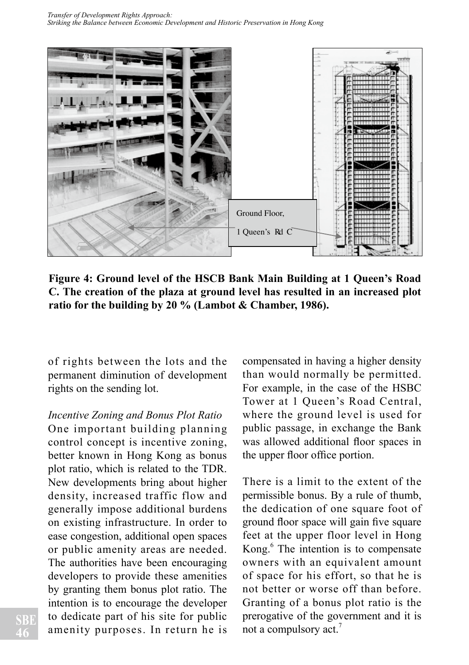

**Figure 4: Ground level of the HSCB Bank Main Building at 1 Queen's Road C. The creation of the plaza at ground level has resulted in an increased plot ratio for the building by 20 % (Lambot & Chamber, 1986).** 

of rights between the lots and the permanent diminution of development rights on the sending lot.

#### *Incentive Zoning and Bonus Plot Ratio*

One important building planning control concept is incentive zoning, better known in Hong Kong as bonus plot ratio, which is related to the TDR. New developments bring about higher density, increased traffic flow and generally impose additional burdens on existing infrastructure. In order to ease congestion, additional open spaces or public amenity areas are needed. The authorities have been encouraging developers to provide these amenities by granting them bonus plot ratio. The intention is to encourage the developer to dedicate part of his site for public amenity purposes. In return he is

compensated in having a higher density than would normally be permitted. For example, in the case of the HSBC Tower at 1 Queen's Road Central, where the ground level is used for public passage, in exchange the Bank was allowed additional floor spaces in the upper floor office portion.

There is a limit to the extent of the permissible bonus. By a rule of thumb, the dedication of one square foot of ground floor space will gain five square feet at the upper floor level in Hong Kong.<sup>6</sup> The intention is to compensate owners with an equivalent amount of space for his effort, so that he is not better or worse off than before. Granting of a bonus plot ratio is the prerogative of the government and it is not a compulsory act.<sup>7</sup>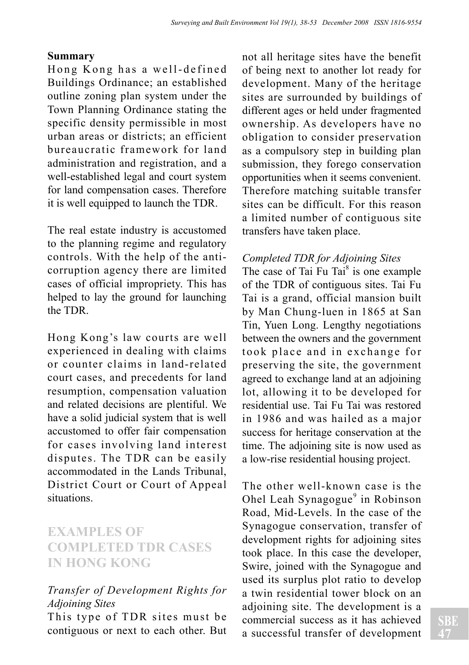#### **Summary**

Hong Kong has a well-defined Buildings Ordinance; an established outline zoning plan system under the Town Planning Ordinance stating the specific density permissible in most urban areas or districts; an efficient bureaucratic framework for land administration and registration, and a well-established legal and court system for land compensation cases. Therefore it is well equipped to launch the TDR.

The real estate industry is accustomed to the planning regime and regulatory controls. With the help of the anticorruption agency there are limited cases of official impropriety. This has helped to lay the ground for launching the TDR.

Hong Kong's law courts are well experienced in dealing with claims or counter claims in land-related court cases, and precedents for land resumption, compensation valuation and related decisions are plentiful. We have a solid judicial system that is well accustomed to offer fair compensation for cases involving land interest disputes. The TDR can be easily accommodated in the Lands Tribunal, District Court or Court of Appeal situations.

### **EXAMPLES OF COMPLETED TDR CASES IN HONG KONG**

#### *Transfer of Development Rights for Adjoining Sites*

This type of TDR sites must be contiguous or next to each other. But not all heritage sites have the benefit of being next to another lot ready for development. Many of the heritage sites are surrounded by buildings of different ages or held under fragmented ownership. As developers have no obligation to consider preservation as a compulsory step in building plan submission, they forego conservation opportunities when it seems convenient. Therefore matching suitable transfer sites can be difficult. For this reason a limited number of contiguous site transfers have taken place.

#### *Completed TDR for Adjoining Sites*

The case of Tai Fu Tai $^8$  is one example of the TDR of contiguous sites. Tai Fu Tai is a grand, official mansion built by Man Chung-luen in 1865 at San Tin, Yuen Long. Lengthy negotiations between the owners and the government took place and in exchange for preserving the site, the government agreed to exchange land at an adjoining lot, allowing it to be developed for residential use. Tai Fu Tai was restored in 1986 and was hailed as a major success for heritage conservation at the time. The adjoining site is now used as a low-rise residential housing project.

The other well-known case is the Ohel Leah Synagogue<sup>9</sup> in Robinson Road, Mid-Levels. In the case of the Synagogue conservation, transfer of development rights for adjoining sites took place. In this case the developer, Swire, joined with the Synagogue and used its surplus plot ratio to develop a twin residential tower block on an adjoining site. The development is a commercial success as it has achieved a successful transfer of development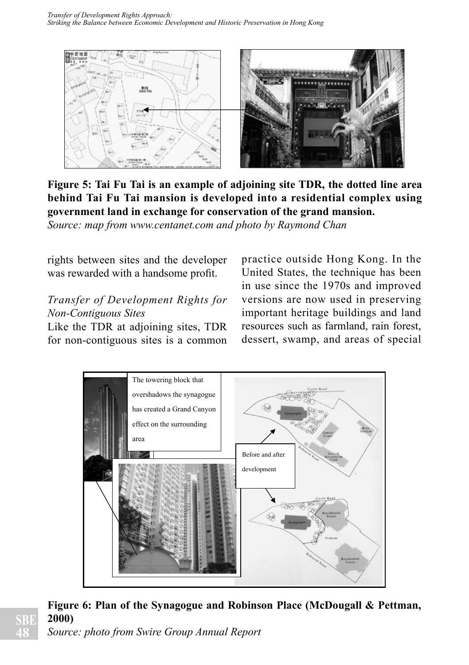

**Figure 5: Tai Fu Tai is an example of adjoining site TDR, the dotted line area behind Tai Fu Tai mansion is developed into a residential complex using government land in exchange for conservation of the grand mansion.**

*Source: map from www.centanet.com and photo by Raymond Chan*

rights between sites and the developer was rewarded with a handsome profit.

#### *Transfer of Development Rights for Non-Contiguous Sites*

Like the TDR at adjoining sites, TDR for non-contiguous sites is a common practice outside Hong Kong. In the United States, the technique has been in use since the 1970s and improved versions are now used in preserving important heritage buildings and land resources such as farmland, rain forest, dessert, swamp, and areas of special



**Figure 6: Plan of the Synagogue and Robinson Place (McDougall & Pettman, 2000)**

*Source: photo from Swire Group Annual Report*

**SBE 48**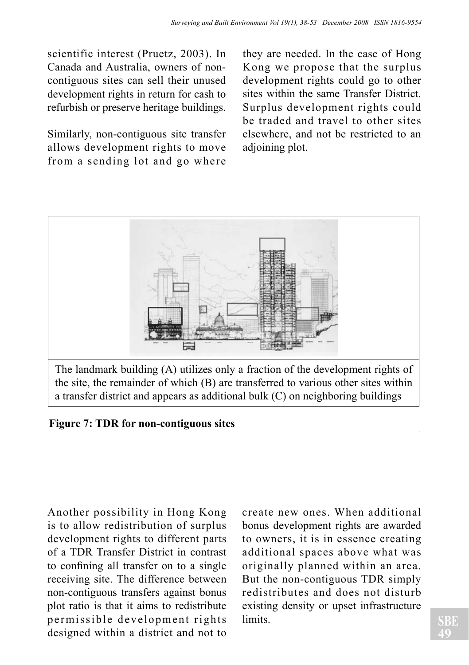scientific interest (Pruetz, 2003). In Canada and Australia, owners of noncontiguous sites can sell their unused development rights in return for cash to refurbish or preserve heritage buildings.

Similarly, non-contiguous site transfer allows development rights to move from a sending lot and go where

they are needed. In the case of Hong Kong we propose that the surplus development rights could go to other sites within the same Transfer District. Surplus development rights could be traded and travel to other sites elsewhere, and not be restricted to an adjoining plot.



**Figure 7: TDR for non-contiguous sites**

Another possibility in Hong Kong is to allow redistribution of surplus development rights to different parts of a TDR Transfer District in contrast to confining all transfer on to a single receiving site. The difference between non-contiguous transfers against bonus plot ratio is that it aims to redistribute permissible development rights designed within a district and not to create new ones. When additional bonus development rights are awarded to owners, it is in essence creating additional spaces above what was originally planned within an area. But the non-contiguous TDR simply redistributes and does not disturb existing density or upset infrastructure limits.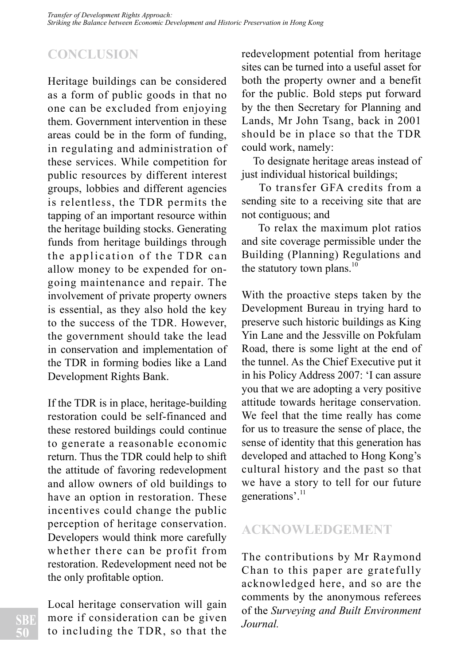# **CONCLUSION**

Heritage buildings can be considered as a form of public goods in that no one can be excluded from enjoying them. Government intervention in these areas could be in the form of funding, in regulating and administration of these services. While competition for public resources by different interest groups, lobbies and different agencies is relentless, the TDR permits the tapping of an important resource within the heritage building stocks. Generating funds from heritage buildings through the application of the TDR can allow money to be expended for ongoing maintenance and repair. The involvement of private property owners is essential, as they also hold the key to the success of the TDR. However, the government should take the lead in conservation and implementation of the TDR in forming bodies like a Land Development Rights Bank.

If the TDR is in place, heritage-building restoration could be self-financed and these restored buildings could continue to generate a reasonable economic return. Thus the TDR could help to shift the attitude of favoring redevelopment and allow owners of old buildings to have an option in restoration. These incentives could change the public perception of heritage conservation. Developers would think more carefully whether there can be profit from restoration. Redevelopment need not be the only profitable option.

Local heritage conservation will gain more if consideration can be given to including the TDR, so that the redevelopment potential from heritage sites can be turned into a useful asset for both the property owner and a benefit for the public. Bold steps put forward by the then Secretary for Planning and Lands, Mr John Tsang, back in 2001 should be in place so that the TDR could work, namely:

 To designate heritage areas instead of just individual historical buildings;

 To transfer GFA credits from a sending site to a receiving site that are not contiguous; and

 To relax the maximum plot ratios and site coverage permissible under the Building (Planning) Regulations and the statutory town plans. $^{10}$ 

With the proactive steps taken by the Development Bureau in trying hard to preserve such historic buildings as King Yin Lane and the Jessville on Pokfulam Road, there is some light at the end of the tunnel. As the Chief Executive put it in his Policy Address 2007: 'I can assure you that we are adopting a very positive attitude towards heritage conservation. We feel that the time really has come for us to treasure the sense of place, the sense of identity that this generation has developed and attached to Hong Kong's cultural history and the past so that we have a story to tell for our future generations'.<sup>11</sup>

### **ACKNOWLEDGEMENT**

The contributions by Mr Raymond Chan to this paper are gratefully acknowledged here, and so are the comments by the anonymous referees of the *Surveying and Built Environment Journal.*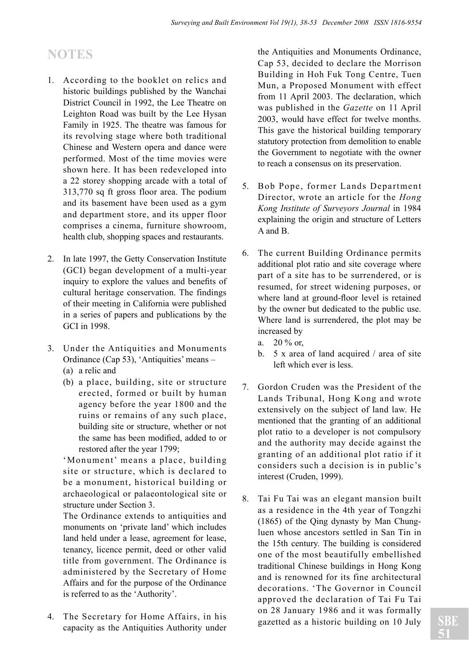### **NOTES**

- 1. According to the booklet on relics and historic buildings published by the Wanchai District Council in 1992, the Lee Theatre on Leighton Road was built by the Lee Hysan Family in 1925. The theatre was famous for its revolving stage where both traditional Chinese and Western opera and dance were performed. Most of the time movies were shown here. It has been redeveloped into a 22 storey shopping arcade with a total of 313,770 sq ft gross floor area. The podium and its basement have been used as a gym and department store, and its upper floor comprises a cinema, furniture showroom, health club, shopping spaces and restaurants.
- 2. In late 1997, the Getty Conservation Institute (GCI) began development of a multi-year inquiry to explore the values and benefits of cultural heritage conservation. The findings of their meeting in California were published in a series of papers and publications by the GCI in 1998.
- 3. Under the Antiquities and Monuments Ordinance (Cap 53), 'Antiquities' means – (a) a relic and
	- (b) a place, building, site or structure erected, formed or built by human agency before the year 1800 and the ruins or remains of any such place, building site or structure, whether or not the same has been modified, added to or restored after the year 1799;

'Monument' means a place, building site or structure, which is declared to be a monument, historical building or archaeological or palaeontological site or structure under Section 3.

The Ordinance extends to antiquities and monuments on 'private land' which includes land held under a lease, agreement for lease, tenancy, licence permit, deed or other valid title from government. The Ordinance is administered by the Secretary of Home Affairs and for the purpose of the Ordinance is referred to as the 'Authority'.

4. The Secretary for Home Affairs, in his capacity as the Antiquities Authority under the Antiquities and Monuments Ordinance, Cap 53, decided to declare the Morrison Building in Hoh Fuk Tong Centre, Tuen Mun, a Proposed Monument with effect from 11 April 2003. The declaration, which was published in the *Gazette* on 11 April 2003, would have effect for twelve months. This gave the historical building temporary statutory protection from demolition to enable the Government to negotiate with the owner to reach a consensus on its preservation.

- 5. Bob Pope, former Lands Department Director, wrote an article for the *Hong Kong Institute of Surveyors Journal* in 1984 explaining the origin and structure of Letters A and B.
- 6. The current Building Ordinance permits additional plot ratio and site coverage where part of a site has to be surrendered, or is resumed, for street widening purposes, or where land at ground-floor level is retained by the owner but dedicated to the public use. Where land is surrendered, the plot may be increased by
	- a.  $20\%$  or
	- b. 5 x area of land acquired / area of site left which ever is less.
- 7. Gordon Cruden was the President of the Lands Tribunal, Hong Kong and wrote extensively on the subject of land law. He mentioned that the granting of an additional plot ratio to a developer is not compulsory and the authority may decide against the granting of an additional plot ratio if it considers such a decision is in public's interest (Cruden, 1999).
- 8. Tai Fu Tai was an elegant mansion built as a residence in the 4th year of Tongzhi (1865) of the Qing dynasty by Man Chungluen whose ancestors settled in San Tin in the 15th century. The building is considered one of the most beautifully embellished traditional Chinese buildings in Hong Kong and is renowned for its fine architectural decorations. 'The Governor in Council approved the declaration of Tai Fu Tai on 28 January 1986 and it was formally gazetted as a historic building on 10 July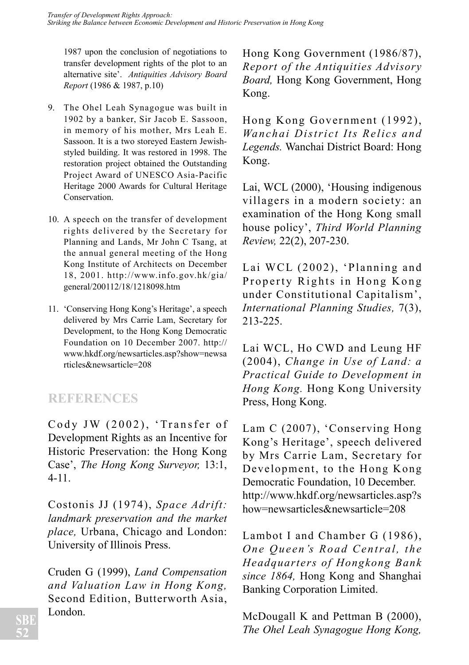1987 upon the conclusion of negotiations to transfer development rights of the plot to an alternative site'. *Antiquities Advisory Board Report* (1986 & 1987, p.10)

- 9. The Ohel Leah Synagogue was built in 1902 by a banker, Sir Jacob E. Sassoon, in memory of his mother, Mrs Leah E. Sassoon. It is a two storeyed Eastern Jewishstyled building. It was restored in 1998. The restoration project obtained the Outstanding Project Award of UNESCO Asia-Pacific Heritage 2000 Awards for Cultural Heritage Conservation.
- 10. A speech on the transfer of development rights delivered by the Secretary for Planning and Lands, Mr John C Tsang, at the annual general meeting of the Hong Kong Institute of Architects on December 18, 2001. http://www.info.gov.hk/gia/ general/200112/18/1218098.htm
- 11. 'Conserving Hong Kong's Heritage', a speech delivered by Mrs Carrie Lam, Secretary for Development, to the Hong Kong Democratic Foundation on 10 December 2007. http:// www.hkdf.org/newsarticles.asp?show=newsa rticles&newsarticle=208

### **REFERENCES**

Cody JW  $(2002)$ , 'Transfer of Development Rights as an Incentive for Historic Preservation: the Hong Kong Case', *The Hong Kong Surveyor,* 13:1, 4-11.

Costonis JJ (1974), *Space Adrift: landmark preservation and the market place,* Urbana, Chicago and London: University of Illinois Press.

Cruden G (1999), *Land Compensation and Valuation Law in Hong Kong,* Second Edition, Butterworth Asia, London.

Hong Kong Government (1986/87), *Report of the Antiquities Advisory Board,* Hong Kong Government, Hong Kong.

Hong Kong Government (1992), *Wanchai District Its Relics and Legends.* Wanchai District Board: Hong Kong.

Lai, WCL (2000), 'Housing indigenous villagers in a modern society: an examination of the Hong Kong small house policy', *Third World Planning Review,* 22(2), 207-230.

Lai WCL (2002), 'Planning and Property Rights in Hong Kong under Constitutional Capitalism', *International Planning Studies,* 7(3), 213-225.

Lai WCL, Ho CWD and Leung HF (2004), *Change in Use of Land: a Practical Guide to Development in Hong Kong.* Hong Kong University Press, Hong Kong.

Lam C (2007), 'Conserving Hong Kong's Heritage', speech delivered by Mrs Carrie Lam, Secretary for Development, to the Hong Kong Democratic Foundation, 10 December. http://www.hkdf.org/newsarticles.asp?s how=newsarticles&newsarticle=208

Lambot I and Chamber G (1986), *One Oueen's Road Central, the Headquarters of Hongkong Bank since 1864,* Hong Kong and Shanghai Banking Corporation Limited.

McDougall K and Pettman B (2000), *The Ohel Leah Synagogue Hong Kong,*